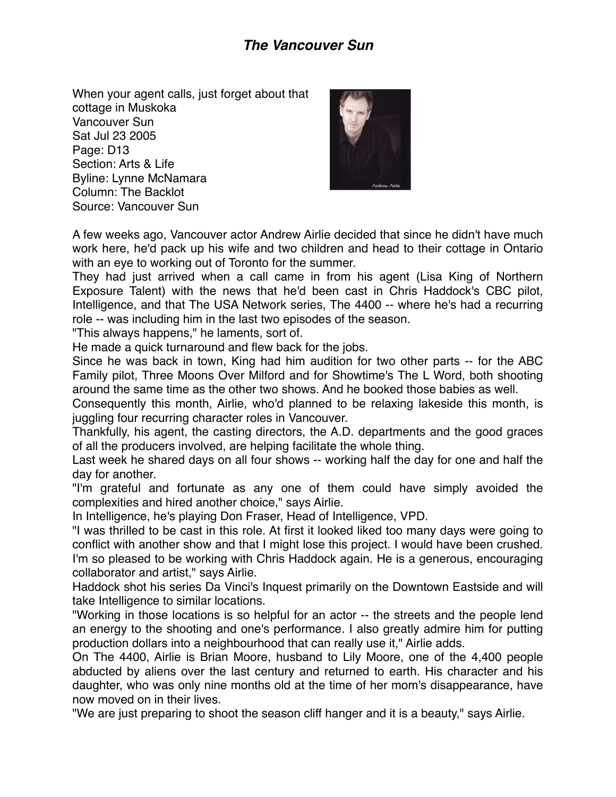## *The Vancouver Sun*

When your agent calls, just forget about that cottage in Muskoka Vancouver Sun Sat Jul 23 2005 Page: D13 Section: Arts & Life Byline: Lynne McNamara Column: The Backlot Source: Vancouver Sun



A few weeks ago, Vancouver actor Andrew Airlie decided that since he didn't have much work here, he'd pack up his wife and two children and head to their cottage in Ontario with an eye to working out of Toronto for the summer.

They had just arrived when a call came in from his agent (Lisa King of Northern Exposure Talent) with the news that he'd been cast in Chris Haddock's CBC pilot, Intelligence, and that The USA Network series, The 4400 -- where he's had a recurring role -- was including him in the last two episodes of the season.

"This always happens," he laments, sort of.

He made a quick turnaround and flew back for the jobs.

Since he was back in town, King had him audition for two other parts -- for the ABC Family pilot, Three Moons Over Milford and for Showtime's The L Word, both shooting around the same time as the other two shows. And he booked those babies as well.

Consequently this month, Airlie, who'd planned to be relaxing lakeside this month, is juggling four recurring character roles in Vancouver.

Thankfully, his agent, the casting directors, the A.D. departments and the good graces of all the producers involved, are helping facilitate the whole thing.

Last week he shared days on all four shows -- working half the day for one and half the day for another.

"I'm grateful and fortunate as any one of them could have simply avoided the complexities and hired another choice," says Airlie.

In Intelligence, he's playing Don Fraser, Head of Intelligence, VPD.

"I was thrilled to be cast in this role. At first it looked liked too many days were going to conflict with another show and that I might lose this project. I would have been crushed. I'm so pleased to be working with Chris Haddock again. He is a generous, encouraging collaborator and artist," says Airlie.

Haddock shot his series Da Vinci's Inquest primarily on the Downtown Eastside and will take Intelligence to similar locations.

"Working in those locations is so helpful for an actor -- the streets and the people lend an energy to the shooting and one's performance. I also greatly admire him for putting production dollars into a neighbourhood that can really use it," Airlie adds.

On The 4400, Airlie is Brian Moore, husband to Lily Moore, one of the 4,400 people abducted by aliens over the last century and returned to earth. His character and his daughter, who was only nine months old at the time of her mom's disappearance, have now moved on in their lives.

"We are just preparing to shoot the season cliff hanger and it is a beauty," says Airlie.